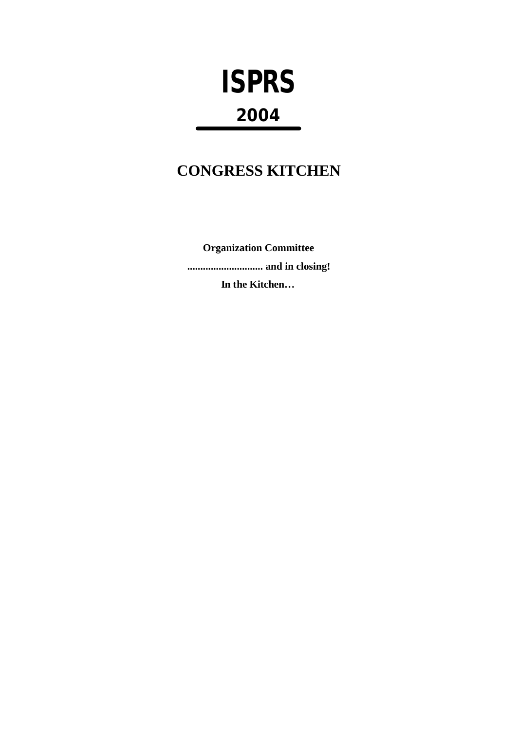# **ISPRS** 2004

## **CONGRESS KITCHEN**

**Organization Committee** ................................ and in closing! In the Kitchen...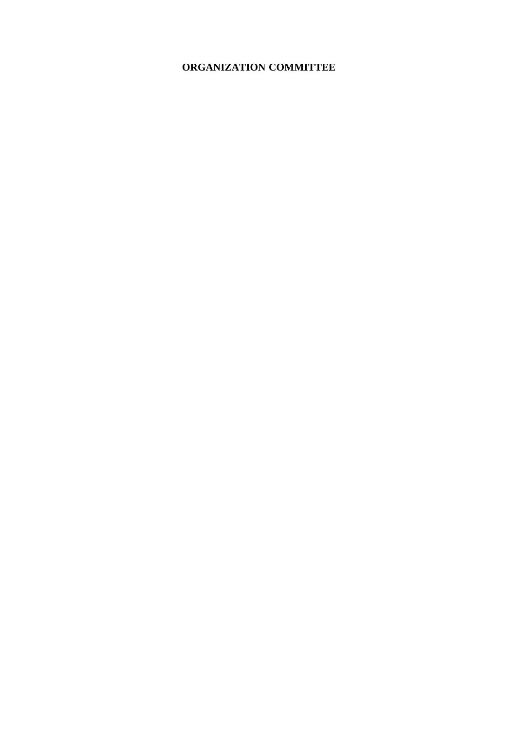#### **ORGANIZATION COMMITTEE**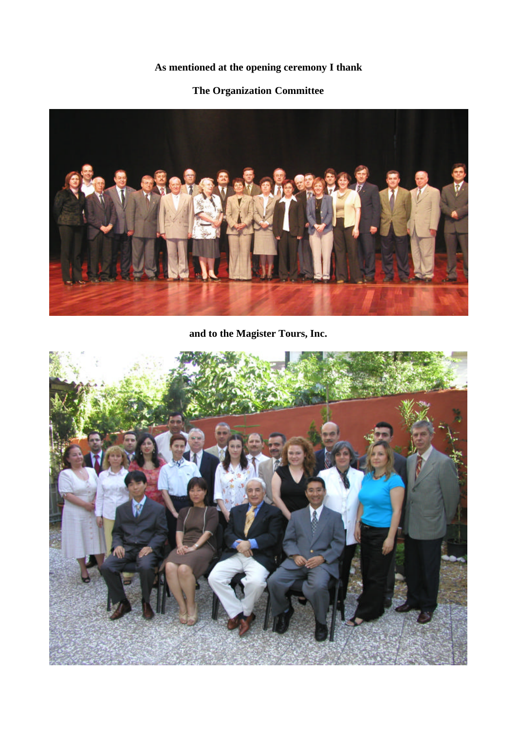## **As mentioned at the opening ceremony I thank**

#### **The Organization Committee**



## **and to the Magister Tours, Inc.**

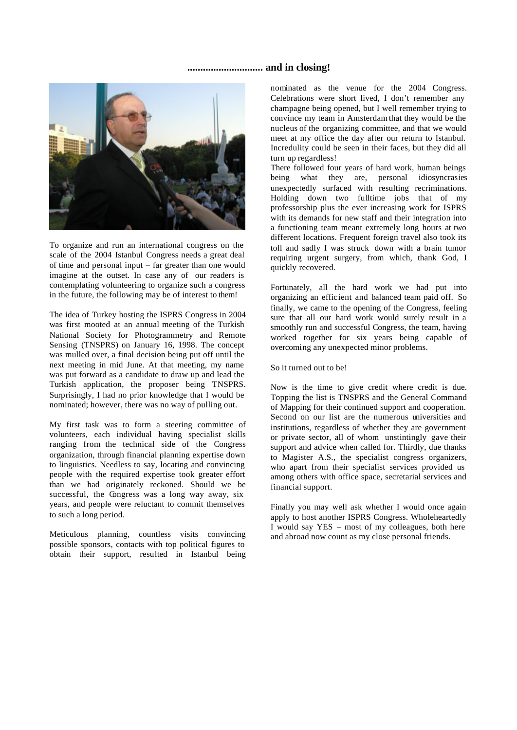#### **............................. and in closing!**



To organize and run an international congress on the scale of the 2004 Istanbul Congress needs a great deal of time and personal input – far greater than one would imagine at the outset. In case any of our readers is contemplating volunteering to organize such a congress in the future, the following may be of interest to them!

The idea of Turkey hosting the ISPRS Congress in 2004 was first mooted at an annual meeting of the Turkish National Society for Photogrammetry and Remote Sensing (TNSPRS) on January 16, 1998. The concept was mulled over, a final decision being put off until the next meeting in mid June. At that meeting, my name was put forward as a candidate to draw up and lead the Turkish application, the proposer being TNSPRS. Surprisingly, I had no prior knowledge that I would be nominated; however, there was no way of pulling out.

My first task was to form a steering committee of volunteers, each individual having specialist skills ranging from the technical side of the Congress organization, through financial planning expertise down to linguistics. Needless to say, locating and convincing people with the required expertise took greater effort than we had originately reckoned. Should we be successful, the Congress was a long way away, six years, and people were reluctant to commit themselves to such a long period.

Meticulous planning, countless visits convincing possible sponsors, contacts with top political figures to obtain their support, resulted in Istanbul being

nominated as the venue for the 2004 Congress. Celebrations were short lived, I don't remember any champagne being opened, but I well remember trying to convince my team in Amsterdam that they would be the nucleus of the organizing committee, and that we would meet at my office the day after our return to Istanbul. Incredulity could be seen in their faces, but they did all turn up regardless!

There followed four years of hard work, human beings being what they are, personal idiosyncrasies unexpectedly surfaced with resulting recriminations. Holding down two fulltime jobs that of my professorship plus the ever increasing work for ISPRS with its demands for new staff and their integration into a functioning team meant extremely long hours at two different locations. Frequent foreign travel also took its toll and sadly I was struck down with a brain tumor requiring urgent surgery, from which, thank God, I quickly recovered.

Fortunately, all the hard work we had put into organizing an efficient and balanced team paid off. So finally, we came to the opening of the Congress, feeling sure that all our hard work would surely result in a smoothly run and successful Congress, the team, having worked together for six years being capable of overcoming any unexpected minor problems.

#### So it turned out to be!

Now is the time to give credit where credit is due. Topping the list is TNSPRS and the General Command of Mapping for their continued support and cooperation. Second on our list are the numerous universities and institutions, regardless of whether they are government or private sector, all of whom unstintingly gave their support and advice when called for. Thirdly, due thanks to Magister A.S., the specialist congress organizers, who apart from their specialist services provided us among others with office space, secretarial services and financial support.

Finally you may well ask whether I would once again apply to host another ISPRS Congress. Wholeheartedly I would say YES – most of my colleagues, both here and abroad now count as my close personal friends.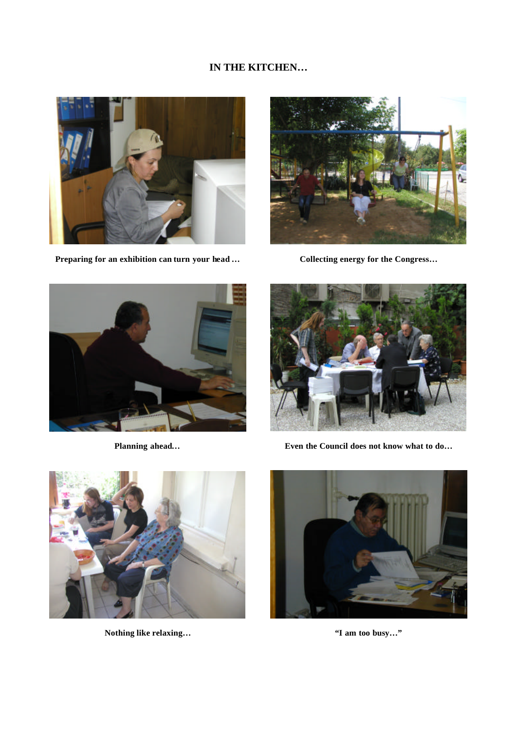#### **IN THE KITCHEN…**



**Preparing for an exhibition can turn your head …**



**Collecting energy for the Congress…**



**Planning ahead…**



**Even the Council does not know what to do…**



**Nothing like relaxing…**



**"I am too busy…"**